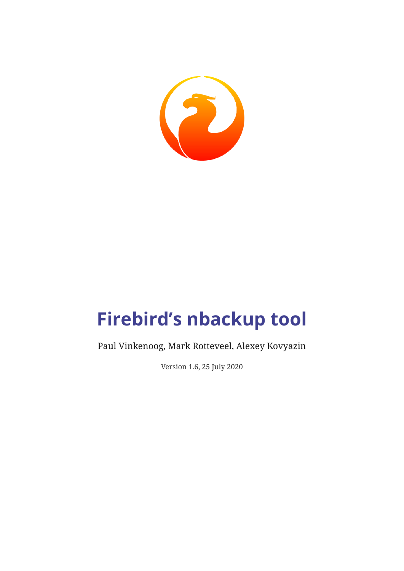

# **Firebird's nbackup tool**

Paul Vinkenoog, Mark Rotteveel, Alexey Kovyazin

Version 1.6, 25 July 2020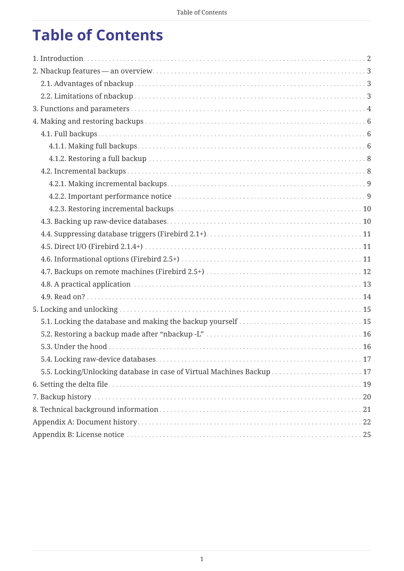## **Table of Contents**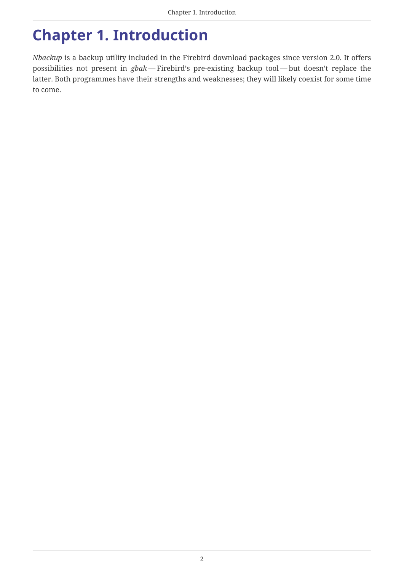## <span id="page-2-0"></span>**Chapter 1. Introduction**

*Nbackup* is a backup utility included in the Firebird download packages since version 2.0. It offers possibilities not present in *gbak* — Firebird's pre-existing backup tool — but doesn't replace the latter. Both programmes have their strengths and weaknesses; they will likely coexist for some time to come.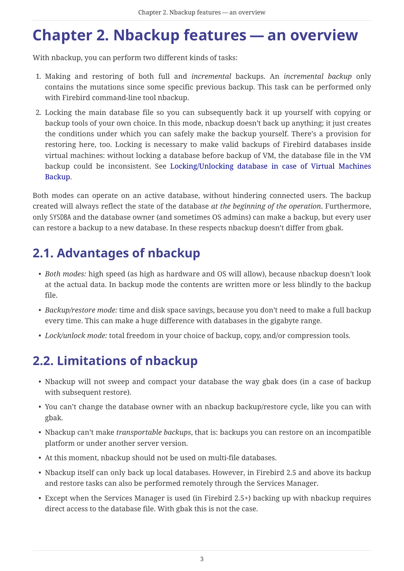## <span id="page-3-0"></span>**Chapter 2. Nbackup features — an overview**

With nbackup, you can perform two different kinds of tasks:

- 1. Making and restoring of both full and *incremental* backups. An *incremental backup* only contains the mutations since some specific previous backup. This task can be performed only with Firebird command-line tool nbackup.
- 2. Locking the main database file so you can subsequently back it up yourself with copying or backup tools of your own choice. In this mode, nbackup doesn't back up anything; it just creates the conditions under which you can safely make the backup yourself. There's a provision for restoring here, too. Locking is necessary to make valid backups of Firebird databases inside virtual machines: without locking a database before backup of VM, the database file in the VM backup could be inconsistent. See [Locking/Unlocking database in case of Virtual Machines](#page-17-1) [Backup](#page-17-1).

Both modes can operate on an active database, without hindering connected users. The backup created will always reflect the state of the database *at the beginning of the operation*. Furthermore, only SYSDBA and the database owner (and sometimes OS admins) can make a backup, but every user can restore a backup to a new database. In these respects nbackup doesn't differ from gbak.

### <span id="page-3-1"></span>**2.1. Advantages of nbackup**

- *Both modes:* high speed (as high as hardware and OS will allow), because nbackup doesn't look at the actual data. In backup mode the contents are written more or less blindly to the backup file.
- *Backup/restore mode:* time and disk space savings, because you don't need to make a full backup every time. This can make a huge difference with databases in the gigabyte range.
- *Lock/unlock mode:* total freedom in your choice of backup, copy, and/or compression tools.

### <span id="page-3-2"></span>**2.2. Limitations of nbackup**

- Nbackup will not sweep and compact your database the way gbak does (in a case of backup with subsequent restore).
- You can't change the database owner with an nbackup backup/restore cycle, like you can with gbak.
- Nbackup can't make *transportable backups*, that is: backups you can restore on an incompatible platform or under another server version.
- At this moment, nbackup should not be used on multi-file databases.
- Nbackup itself can only back up local databases. However, in Firebird 2.5 and above its backup and restore tasks can also be performed remotely through the Services Manager.
- Except when the Services Manager is used (in Firebird 2.5+) backing up with nbackup requires direct access to the database file. With gbak this is not the case.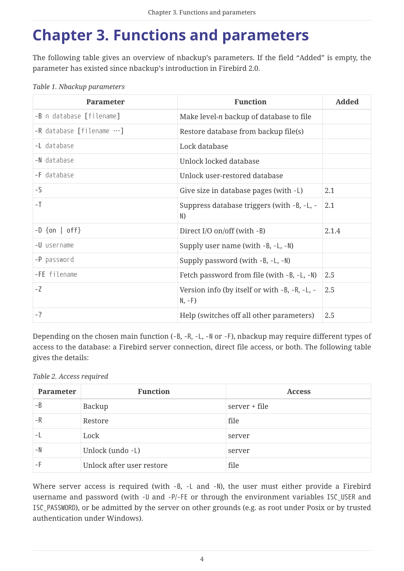## <span id="page-4-0"></span>**Chapter 3. Functions and parameters**

The following table gives an overview of nbackup's parameters. If the field "Added" is empty, the parameter has existed since nbackup's introduction in Firebird 2.0.

| <b>Parameter</b>                   | <b>Function</b>                                           | <b>Added</b> |
|------------------------------------|-----------------------------------------------------------|--------------|
| -B n database [filename]           | Make level-n backup of database to file                   |              |
| $-R$ database [filename $\cdots$ ] | Restore database from backup file(s)                      |              |
| -L database                        | Lock database                                             |              |
| -N database                        | Unlock locked database                                    |              |
| -F database                        | Unlock user-restored database                             |              |
| $-S$                               | Give size in database pages (with -L)                     | 2.1          |
| $-1$                               | Suppress database triggers (with -B, -L, -<br>N)          | 2.1          |
| $-D$ {on   off}                    | Direct I/O on/off (with -B)                               | 2.1.4        |
| -U username                        | Supply user name (with $-B$ , $-L$ , $-N$ )               |              |
| -P password                        | Supply password (with -B, -L, -N)                         |              |
| -FE filename                       | Fetch password from file (with -B, -L, -N)                | 2.5          |
| $-7$                               | Version info (by itself or with -B, -R, -L, -<br>$N, -F)$ | 2.5          |
| $-?$                               | Help (switches off all other parameters)                  | 2.5          |

Depending on the chosen main function (-B, -R, -L, -N or -F), nbackup may require different types of access to the database: a Firebird server connection, direct file access, or both. The following table gives the details:

#### *Table 2. Access required*

| Parameter | <b>Function</b>           | <b>Access</b> |
|-----------|---------------------------|---------------|
| $-B$      | Backup                    | server + file |
| $-R$      | Restore                   | file          |
|           | Lock                      | server        |
| $-N$      | Unlock (undo -L)          | server        |
| – F       | Unlock after user restore | file          |

Where server access is required (with -B, -L and -N), the user must either provide a Firebird username and password (with -U and -P/-FE or through the environment variables ISC\_USER and ISC\_PASSWORD), or be admitted by the server on other grounds (e.g. as root under Posix or by trusted authentication under Windows).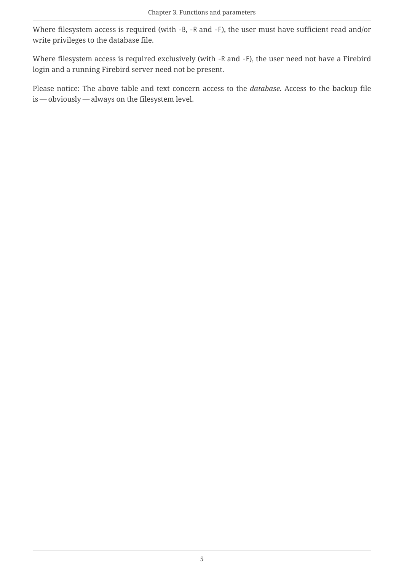Where filesystem access is required (with -B, -R and -F), the user must have sufficient read and/or write privileges to the database file.

Where filesystem access is required exclusively (with -R and -F), the user need not have a Firebird login and a running Firebird server need not be present.

Please notice: The above table and text concern access to the *database*. Access to the backup file is — obviously — always on the filesystem level.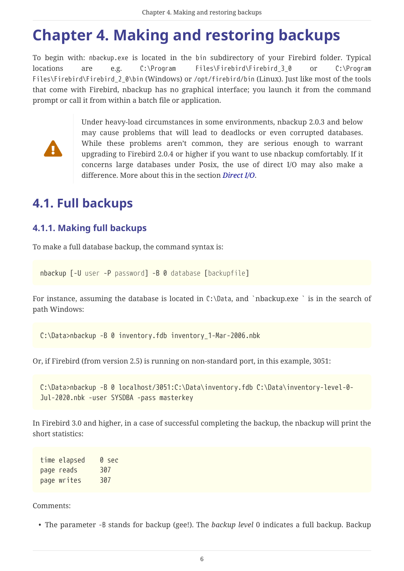## <span id="page-6-0"></span>**Chapter 4. Making and restoring backups**

To begin with: nbackup.exe is located in the bin subdirectory of your Firebird folder. Typical locations are e.g. C:\Program Files\Firebird\Firebird\_3\_0 or C:\Program Files\Firebird\Firebird 2 0\bin (Windows) or /opt/firebird/bin (Linux). Just like most of the tools that come with Firebird, nbackup has no graphical interface; you launch it from the command prompt or call it from within a batch file or application.



Under heavy-load circumstances in some environments, nbackup 2.0.3 and below may cause problems that will lead to deadlocks or even corrupted databases. While these problems aren't common, they are serious enough to warrant upgrading to Firebird 2.0.4 or higher if you want to use nbackup comfortably. If it concerns large databases under Posix, the use of direct I/O may also make a difference. More about this in the section *[Direct I/O](#page-11-1)*.

### <span id="page-6-1"></span>**4.1. Full backups**

#### <span id="page-6-2"></span>**4.1.1. Making full backups**

To make a full database backup, the command syntax is:

```
nbackup [-U user -P password] -B 0 database [backupfile]
```
For instance, assuming the database is located in C:\Data, and `nbackup.exe ` is in the search of path Windows:

C:\Data>nbackup -B 0 inventory.fdb inventory\_1-Mar-2006.nbk

Or, if Firebird (from version 2.5) is running on non-standard port, in this example, 3051:

C:\Data>nbackup -B 0 localhost/3051:C:\Data\inventory.fdb C:\Data\inventory-level-0- Jul-2020.nbk -user SYSDBA -pass masterkey

In Firebird 3.0 and higher, in a case of successful completing the backup, the nbackup will print the short statistics:

time elapsed 0 sec page reads 307 page writes 307

<span id="page-6-3"></span>Comments:

• The parameter -B stands for backup (gee!). The *backup level* 0 indicates a full backup. Backup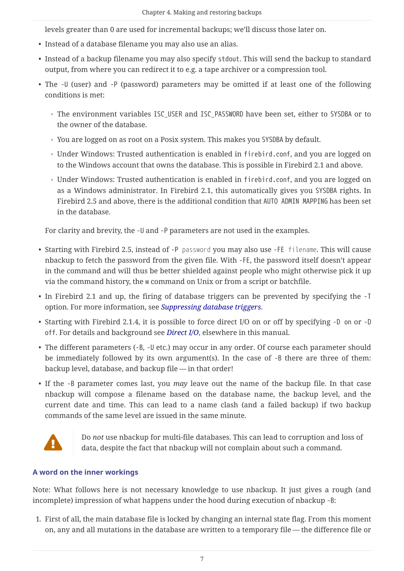levels greater than 0 are used for incremental backups; we'll discuss those later on.

- Instead of a database filename you may also use an alias.
- Instead of a backup filename you may also specify stdout. This will send the backup to standard output, from where you can redirect it to e.g. a tape archiver or a compression tool.
- <span id="page-7-1"></span>• The -U (user) and -P (password) parameters may be omitted if at least one of the following conditions is met:
	- The environment variables ISC\_USER and ISC\_PASSWORD have been set, either to SYSDBA or to the owner of the database.
	- You are logged on as root on a Posix system. This makes you SYSDBA by default.
	- Under Windows: Trusted authentication is enabled in firebird.conf, and you are logged on to the Windows account that owns the database. This is possible in Firebird 2.1 and above.
	- Under Windows: Trusted authentication is enabled in firebird.conf, and you are logged on as a Windows administrator. In Firebird 2.1, this automatically gives you SYSDBA rights. In Firebird 2.5 and above, there is the additional condition that AUTO ADMIN MAPPING has been set in the database.

For clarity and brevity, the -U and -P parameters are not used in the examples.

- Starting with Firebird 2.5, instead of -P *password* you may also use -FE *filename*. This will cause nbackup to fetch the password from the given file. With -FE, the password itself doesn't appear in the command and will thus be better shielded against people who might otherwise pick it up via the command history, the w command on Unix or from a script or batchfile.
- In Firebird 2.1 and up, the firing of database triggers can be prevented by specifying the -T option. For more information, see *[Suppressing database triggers](#page-11-0)*.
- Starting with Firebird 2.1.4, it is possible to force direct I/O on or off by specifying -D on or -D off. For details and background see *[Direct I/O](#page-11-1)*, elsewhere in this manual.
- The different parameters (-B, -U etc.) may occur in any order. Of course each parameter should be immediately followed by its own argument(s). In the case of -B there are three of them: backup level, database, and backup file — in that order!
- If the -B parameter comes last, you *may* leave out the name of the backup file. In that case nbackup will compose a filename based on the database name, the backup level, and the current date and time. This can lead to a name clash (and a failed backup) if two backup commands of the same level are issued in the same minute.



Do *not* use nbackup for multi-file databases. This can lead to corruption and loss of data, despite the fact that nbackup will not complain about such a command.

#### <span id="page-7-0"></span>**A word on the inner workings**

Note: What follows here is not necessary knowledge to use nbackup. It just gives a rough (and incomplete) impression of what happens under the hood during execution of nbackup -B:

1. First of all, the main database file is locked by changing an internal state flag. From this moment on, any and all mutations in the database are written to a temporary file — the difference file or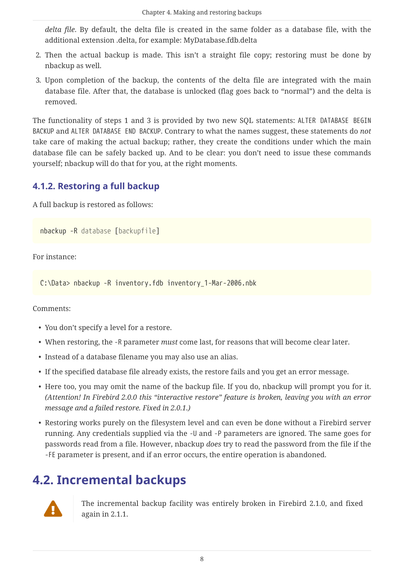*delta file*. By default, the delta file is created in the same folder as a database file, with the additional extension .delta, for example: MyDatabase.fdb.delta

- 2. Then the actual backup is made. This isn't a straight file copy; restoring must be done by nbackup as well.
- 3. Upon completion of the backup, the contents of the delta file are integrated with the main database file. After that, the database is unlocked (flag goes back to "normal") and the delta is removed.

The functionality of steps 1 and 3 is provided by two new SQL statements: ALTER DATABASE BEGIN BACKUP and ALTER DATABASE END BACKUP. Contrary to what the names suggest, these statements do *not* take care of making the actual backup; rather, they create the conditions under which the main database file can be safely backed up. And to be clear: you don't need to issue these commands yourself; nbackup will do that for you, at the right moments.

#### <span id="page-8-0"></span>**4.1.2. Restoring a full backup**

A full backup is restored as follows:

nbackup -R *database* [*backupfile*]

For instance:

C:\Data> nbackup -R inventory.fdb inventory\_1-Mar-2006.nbk

<span id="page-8-2"></span>Comments:

- You don't specify a level for a restore.
- When restoring, the -R parameter *must* come last, for reasons that will become clear later.
- Instead of a database filename you may also use an alias.
- If the specified database file already exists, the restore fails and you get an error message.
- Here too, you may omit the name of the backup file. If you do, nbackup will prompt you for it. *(Attention! In Firebird 2.0.0 this "interactive restore" feature is broken, leaving you with an error message and a failed restore. Fixed in 2.0.1.)*
- Restoring works purely on the filesystem level and can even be done without a Firebird server running. Any credentials supplied via the -U and -P parameters are ignored. The same goes for passwords read from a file. However, nbackup *does* try to read the password from the file if the -FE parameter is present, and if an error occurs, the entire operation is abandoned.

#### <span id="page-8-1"></span>**4.2. Incremental backups**



The incremental backup facility was entirely broken in Firebird 2.1.0, and fixed again in 2.1.1.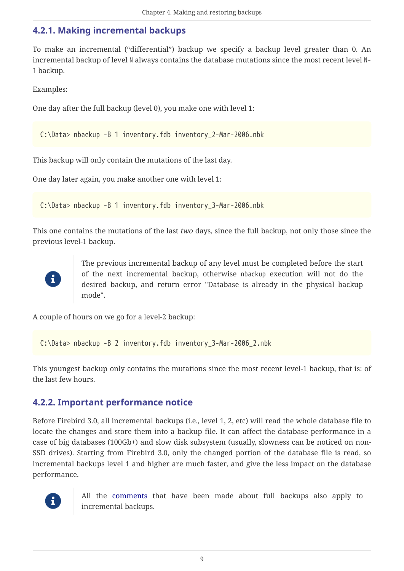#### <span id="page-9-0"></span>**4.2.1. Making incremental backups**

To make an incremental ("differential") backup we specify a backup level greater than 0. An incremental backup of level N always contains the database mutations since the most recent level N-1 backup.

Examples:

One day after the full backup (level 0), you make one with level 1:

C:\Data> nbackup -B 1 inventory.fdb inventory\_2-Mar-2006.nbk

This backup will only contain the mutations of the last day.

One day later again, you make another one with level 1:

C:\Data> nbackup -B 1 inventory.fdb inventory\_3-Mar-2006.nbk

This one contains the mutations of the last *two* days, since the full backup, not only those since the previous level-1 backup.



The previous incremental backup of any level must be completed before the start of the next incremental backup, otherwise nbackup execution will not do the desired backup, and return error "Database is already in the physical backup mode".

A couple of hours on we go for a level-2 backup:

C:\Data> nbackup -B 2 inventory.fdb inventory\_3-Mar-2006\_2.nbk

This youngest backup only contains the mutations since the most recent level-1 backup, that is: of the last few hours.

#### <span id="page-9-1"></span>**4.2.2. Important performance notice**

Before Firebird 3.0, all incremental backups (i.e., level 1, 2, etc) will read the whole database file to locate the changes and store them into a backup file. It can affect the database performance in a case of big databases (100Gb+) and slow disk subsystem (usually, slowness can be noticed on non-SSD drives). Starting from Firebird 3.0, only the changed portion of the database file is read, so incremental backups level 1 and higher are much faster, and give the less impact on the database performance.



All the [comments](#page-6-3) that have been made about full backups also apply to incremental backups.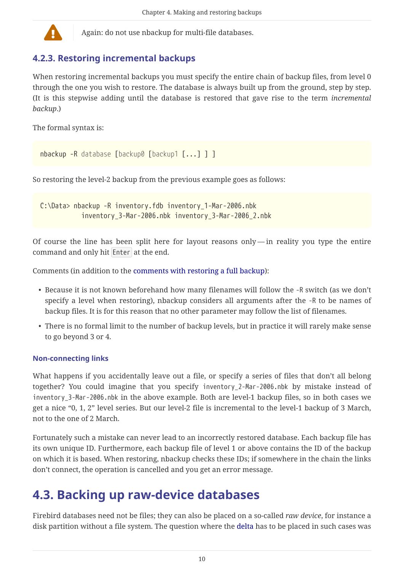

Again: do not use nbackup for multi-file databases.

#### <span id="page-10-0"></span>**4.2.3. Restoring incremental backups**

When restoring incremental backups you must specify the entire chain of backup files, from level 0 through the one you wish to restore. The database is always built up from the ground, step by step. (It is this stepwise adding until the database is restored that gave rise to the term *incremental backup*.)

The formal syntax is:

```
nbackup -R database [backup0 [backup1 [...] ] ]
```
So restoring the level-2 backup from the previous example goes as follows:

C:\Data> nbackup -R inventory.fdb inventory\_1-Mar-2006.nbk inventory\_3-Mar-2006.nbk inventory\_3-Mar-2006\_2.nbk

Of course the line has been split here for layout reasons only — in reality you type the entire command and only hit Enter at the end.

Comments (in addition to the [comments with restoring a full backup](#page-8-2)):

- Because it is not known beforehand how many filenames will follow the -R switch (as we don't specify a level when restoring), nbackup considers all arguments after the -R to be names of backup files. It is for this reason that no other parameter may follow the list of filenames.
- There is no formal limit to the number of backup levels, but in practice it will rarely make sense to go beyond 3 or 4.

#### **Non-connecting links**

What happens if you accidentally leave out a file, or specify a series of files that don't all belong together? You could imagine that you specify inventory\_2-Mar-2006.nbk by mistake instead of inventory\_3-Mar-2006.nbk in the above example. Both are level-1 backup files, so in both cases we get a nice "0, 1, 2" level series. But our level-2 file is incremental to the level-1 backup of 3 March, not to the one of 2 March.

Fortunately such a mistake can never lead to an incorrectly restored database. Each backup file has its own unique ID. Furthermore, each backup file of level 1 or above contains the ID of the backup on which it is based. When restoring, nbackup checks these IDs; if somewhere in the chain the links don't connect, the operation is cancelled and you get an error message.

### <span id="page-10-1"></span>**4.3. Backing up raw-device databases**

Firebird databases need not be files; they can also be placed on a so-called *raw device*, for instance a disk partition without a file system. The question where the [delta](#page-7-0) has to be placed in such cases was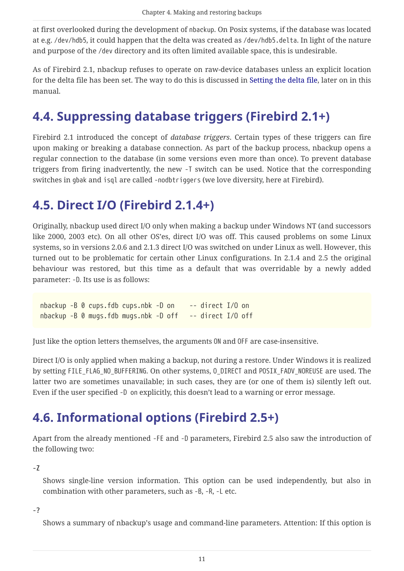at first overlooked during the development of nbackup. On Posix systems, if the database was located at e.g. /dev/hdb5, it could happen that the delta was created as /dev/hdb5.delta. In light of the nature and purpose of the /dev directory and its often limited available space, this is undesirable.

As of Firebird 2.1, nbackup refuses to operate on raw-device databases unless an explicit location for the delta file has been set. The way to do this is discussed in [Setting the delta file](#page-19-0), later on in this manual.

### <span id="page-11-0"></span>**4.4. Suppressing database triggers (Firebird 2.1+)**

Firebird 2.1 introduced the concept of *database triggers*. Certain types of these triggers can fire upon making or breaking a database connection. As part of the backup process, nbackup opens a regular connection to the database (in some versions even more than once). To prevent database triggers from firing inadvertently, the new -T switch can be used. Notice that the corresponding switches in gbak and isql are called -nodbtriggers (we love diversity, here at Firebird).

### <span id="page-11-1"></span>**4.5. Direct I/O (Firebird 2.1.4+)**

Originally, nbackup used direct I/O only when making a backup under Windows NT (and successors like 2000, 2003 etc). On all other OS'es, direct I/O was off. This caused problems on some Linux systems, so in versions 2.0.6 and 2.1.3 direct I/O was switched on under Linux as well. However, this turned out to be problematic for certain other Linux configurations. In 2.1.4 and 2.5 the original behaviour was restored, but this time as a default that was overridable by a newly added parameter: -D. Its use is as follows:

nbackup -B 0 cups.fdb cups.nbk -D on -- direct I/O on nbackup -B 0 mugs.fdb mugs.nbk -D off -- direct I/O off

Just like the option letters themselves, the arguments ON and OFF are case-insensitive.

Direct I/O is only applied when making a backup, not during a restore. Under Windows it is realized by setting FILE\_FLAG\_NO\_BUFFERING. On other systems, O\_DIRECT and POSIX\_FADV\_NOREUSE are used. The latter two are sometimes unavailable; in such cases, they are (or one of them is) silently left out. Even if the user specified -D on explicitly, this doesn't lead to a warning or error message.

### <span id="page-11-2"></span>**4.6. Informational options (Firebird 2.5+)**

Apart from the already mentioned -FE and -D parameters, Firebird 2.5 also saw the introduction of the following two:

**-Z**

Shows single-line version information. This option can be used independently, but also in combination with other parameters, such as -B, -R, -L etc.

**-?**

Shows a summary of nbackup's usage and command-line parameters. Attention: If this option is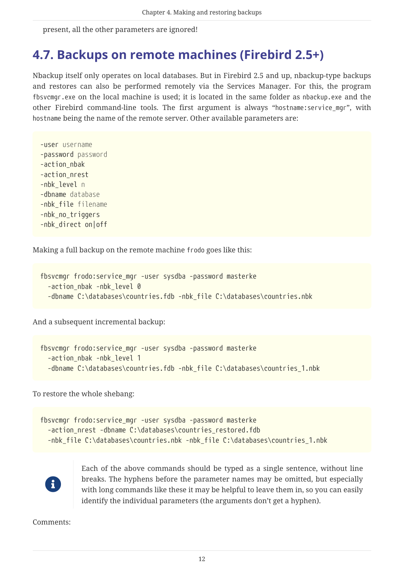present, all the other parameters are ignored!

#### <span id="page-12-0"></span>**4.7. Backups on remote machines (Firebird 2.5+)**

Nbackup itself only operates on local databases. But in Firebird 2.5 and up, nbackup-type backups and restores can also be performed remotely via the Services Manager. For this, the program fbsvcmgr.exe on the local machine is used; it is located in the same folder as nbackup.exe and the other Firebird command-line tools. The first argument is always "hostname:service\_mgr", with hostname being the name of the remote server. Other available parameters are:

-user *username* -password *password* -action\_nbak -action\_nrest -nbk\_level *n* -dbname *database* -nbk\_file *filename* -nbk\_no\_triggers -nbk\_direct on|off

Making a full backup on the remote machine frodo goes like this:

```
fbsvcmgr frodo:service_mgr -user sysdba -password masterke
    -action_nbak -nbk_level 0
    -dbname C:\databases\countries.fdb -nbk_file C:\databases\countries.nbk
```
And a subsequent incremental backup:

```
fbsvcmgr frodo:service_mgr -user sysdba -password masterke
    -action_nbak -nbk_level 1
  -dbname C:\databases\countries.fdb -nbk file C:\databases\countries 1.nbk
```
To restore the whole shebang:

```
fbsvcmgr frodo:service_mgr -user sysdba -password masterke
    -action_nrest -dbname C:\databases\countries_restored.fdb
    -nbk_file C:\databases\countries.nbk -nbk_file C:\databases\countries_1.nbk
```


Each of the above commands should be typed as a single sentence, without line breaks. The hyphens before the parameter names may be omitted, but especially with long commands like these it may be helpful to leave them in, so you can easily identify the individual parameters (the arguments don't get a hyphen).

Comments: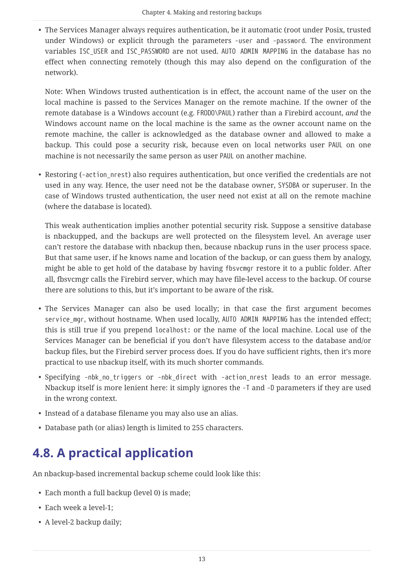• The Services Manager always requires authentication, be it automatic (root under Posix, trusted under Windows) or explicit through the parameters -user and -password. The environment variables ISC\_USER and ISC\_PASSWORD are not used. AUTO ADMIN MAPPING in the database has no effect when connecting remotely (though this may also depend on the configuration of the network).

Note: When Windows trusted authentication is in effect, the account name of the user on the local machine is passed to the Services Manager on the remote machine. If the owner of the remote database is a Windows account (e.g. FRODO\PAUL) rather than a Firebird account, *and* the Windows account name on the local machine is the same as the owner account name on the remote machine, the caller is acknowledged as the database owner and allowed to make a backup. This could pose a security risk, because even on local networks user PAUL on one machine is not necessarily the same person as user PAUL on another machine.

• Restoring (-action nrest) also requires authentication, but once verified the credentials are not used in any way. Hence, the user need not be the database owner, SYSDBA or superuser. In the case of Windows trusted authentication, the user need not exist at all on the remote machine (where the database is located).

This weak authentication implies another potential security risk. Suppose a sensitive database is nbackupped, and the backups are well protected on the filesystem level. An average user can't restore the database with nbackup then, because nbackup runs in the user process space. But that same user, if he knows name and location of the backup, or can guess them by analogy, might be able to get hold of the database by having fbsvcmgr restore it to a public folder. After all, fbsvcmgr calls the Firebird server, which may have file-level access to the backup. Of course there are solutions to this, but it's important to be aware of the risk.

- The Services Manager can also be used locally; in that case the first argument becomes service\_mgr, without hostname. When used locally, AUTO ADMIN MAPPING has the intended effect; this is still true if you prepend localhost: or the name of the local machine. Local use of the Services Manager can be beneficial if you don't have filesystem access to the database and/or backup files, but the Firebird server process does. If you do have sufficient rights, then it's more practical to use nbackup itself, with its much shorter commands.
- Specifying -nbk no triggers or -nbk direct with -action nrest leads to an error message. Nbackup itself is more lenient here: it simply ignores the -T and -D parameters if they are used in the wrong context.
- Instead of a database filename you may also use an alias.
- Database path (or alias) length is limited to 255 characters.

## <span id="page-13-0"></span>**4.8. A practical application**

An nbackup-based incremental backup scheme could look like this:

- Each month a full backup (level 0) is made;
- Each week a level-1;
- A level-2 backup daily;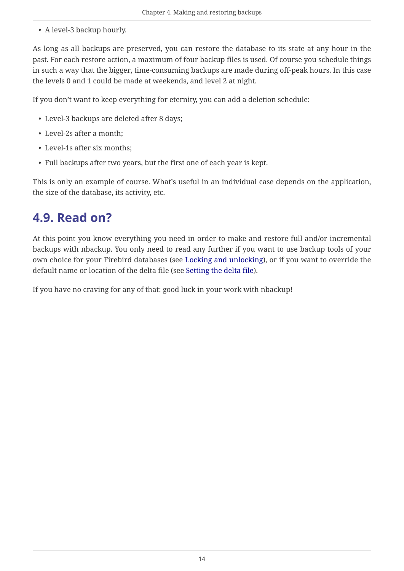• A level-3 backup hourly.

As long as all backups are preserved, you can restore the database to its state at any hour in the past. For each restore action, a maximum of four backup files is used. Of course you schedule things in such a way that the bigger, time-consuming backups are made during off-peak hours. In this case the levels 0 and 1 could be made at weekends, and level 2 at night.

If you don't want to keep everything for eternity, you can add a deletion schedule:

- Level-3 backups are deleted after 8 days;
- Level-2s after a month;
- Level-1s after six months;
- Full backups after two years, but the first one of each year is kept.

This is only an example of course. What's useful in an individual case depends on the application, the size of the database, its activity, etc.

### <span id="page-14-0"></span>**4.9. Read on?**

At this point you know everything you need in order to make and restore full and/or incremental backups with nbackup. You only need to read any further if you want to use backup tools of your own choice for your Firebird databases (see [Locking and unlocking\)](#page-15-0), or if you want to override the default name or location of the delta file (see [Setting the delta file\)](#page-19-0).

If you have no craving for any of that: good luck in your work with nbackup!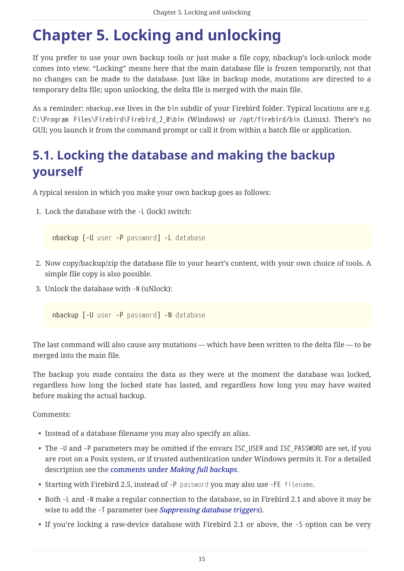## <span id="page-15-0"></span>**Chapter 5. Locking and unlocking**

If you prefer to use your own backup tools or just make a file copy, nbackup's lock-unlock mode comes into view. "Locking" means here that the main database file is frozen temporarily, not that no changes can be made to the database. Just like in backup mode, mutations are directed to a temporary delta file; upon unlocking, the delta file is merged with the main file.

As a reminder: nbackup.exe lives in the bin subdir of your Firebird folder. Typical locations are e.g. C:\Program Files\Firebird\Firebird\_2\_0\bin (Windows) or /opt/firebird/bin (Linux). There's no GUI; you launch it from the command prompt or call it from within a batch file or application.

### <span id="page-15-1"></span>**5.1. Locking the database and making the backup yourself**

A typical session in which you make your own backup goes as follows:

1. Lock the database with the -L (lock) switch:

nbackup [-U *user* -P *password*] -L *database*

- 2. Now copy/backup/zip the database file to your heart's content, with your own choice of tools. A simple file copy is also possible.
- 3. Unlock the database with -N (uNlock):

nbackup [-U *user* -P *password*] -N *database*

The last command will also cause any mutations — which have been written to the delta file — to be merged into the main file.

The backup you made contains the data as they were at the moment the database was locked, regardless how long the locked state has lasted, and regardless how long you may have waited before making the actual backup.

Comments:

- Instead of a database filename you may also specify an alias.
- The -U and -P parameters may be omitted if the envars ISC\_USER and ISC\_PASSWORD are set, if you are root on a Posix system, or if trusted authentication under Windows permits it. For a detailed description see the [comments under](#page-7-1) *[Making full backups](#page-7-1)*.
- Starting with Firebird 2.5, instead of -P *password* you may also use -FE *filename*.
- Both -L and -N make a regular connection to the database, so in Firebird 2.1 and above it may be wise to add the -T parameter (see *[Suppressing database triggers](#page-11-0)*).
- If you're locking a raw-device database with Firebird 2.1 or above, the -S option can be very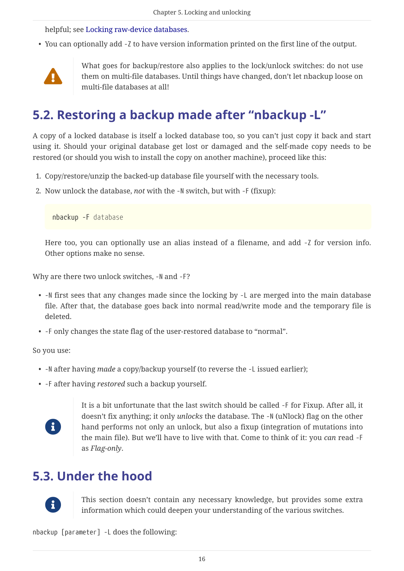helpful; see [Locking raw-device databases](#page-17-0).

• You can optionally add -Z to have version information printed on the first line of the output.



What goes for backup/restore also applies to the lock/unlock switches: do not use them on multi-file databases. Until things have changed, don't let nbackup loose on multi-file databases at all!

### <span id="page-16-0"></span>**5.2. Restoring a backup made after "nbackup -L"**

A copy of a locked database is itself a locked database too, so you can't just copy it back and start using it. Should your original database get lost or damaged and the self-made copy needs to be restored (or should you wish to install the copy on another machine), proceed like this:

- 1. Copy/restore/unzip the backed-up database file yourself with the necessary tools.
- 2. Now unlock the database, *not* with the -N switch, but with -F (fixup):

nbackup -F *database*

Here too, you can optionally use an alias instead of a filename, and add -Z for version info. Other options make no sense.

Why are there two unlock switches, -N and -F?

- -N first sees that any changes made since the locking by -L are merged into the main database file. After that, the database goes back into normal read/write mode and the temporary file is deleted.
- -F only changes the state flag of the user-restored database to "normal".

So you use:

- -N after having *made* a copy/backup yourself (to reverse the -L issued earlier);
- -F after having *restored* such a backup yourself.



It is a bit unfortunate that the last switch should be called -F for Fixup. After all, it doesn't fix anything; it only *unlocks* the database. The -N (uNlock) flag on the other hand performs not only an unlock, but also a fixup (integration of mutations into the main file). But we'll have to live with that. Come to think of it: you *can* read -F as *Flag-only*.

#### <span id="page-16-1"></span>**5.3. Under the hood**



This section doesn't contain any necessary knowledge, but provides some extra information which could deepen your understanding of the various switches.

nbackup [parameter] -L does the following: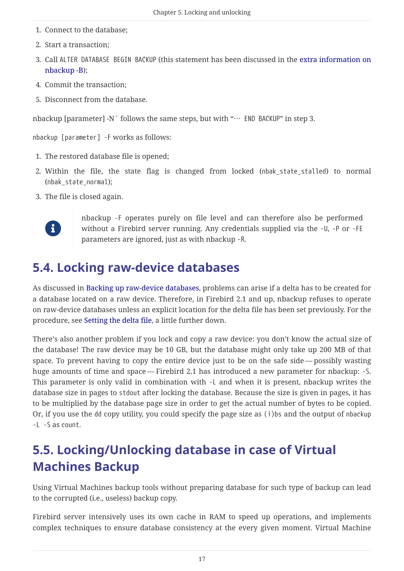- 1. Connect to the database;
- 2. Start a transaction;
- 3. Call ALTER DATABASE BEGIN BACKUP (this statement has been discussed in the [extra information on](#page-7-0) [nbackup -B\)](#page-7-0);
- 4. Commit the transaction;
- 5. Disconnect from the database.

nbackup [parameter] -N` follows the same steps, but with "… END BACKUP" in step 3.

nbackup [parameter] -F works as follows:

- 1. The restored database file is opened;
- 2. Within the file, the state flag is changed from locked (nbak state stalled) to normal (nbak\_state\_normal);
- 3. The file is closed again.



nbackup -F operates purely on file level and can therefore also be performed without a Firebird server running. Any credentials supplied via the -U, -P or -FE parameters are ignored, just as with nbackup -R.

### <span id="page-17-0"></span>**5.4. Locking raw-device databases**

As discussed in [Backing up raw-device databases](#page-10-1), problems can arise if a delta has to be created for a database located on a raw device. Therefore, in Firebird 2.1 and up, nbackup refuses to operate on raw-device databases unless an explicit location for the delta file has been set previously. For the procedure, see [Setting the delta file,](#page-19-0) a little further down.

There's also another problem if you lock and copy a raw device: you don't know the actual size of the database! The raw device may be 10 GB, but the database might only take up 200 MB of that space. To prevent having to copy the entire device just to be on the safe side — possibly wasting huge amounts of time and space — Firebird 2.1 has introduced a new parameter for nbackup: -S. This parameter is only valid in combination with -L and when it is present, nbackup writes the database size in pages to stdout after locking the database. Because the size is given in pages, it has to be multiplied by the database page size in order to get the actual number of bytes to be copied. Or, if you use the dd copy utility, you could specify the page size as (i)bs and the output of nbackup -L -S as count.

### <span id="page-17-1"></span>**5.5. Locking/Unlocking database in case of Virtual Machines Backup**

Using Virtual Machines backup tools without preparing database for such type of backup can lead to the corrupted (i.e., useless) backup copy.

Firebird server intensively uses its own cache in RAM to speed up operations, and implements complex techniques to ensure database consistency at the every given moment. Virtual Machine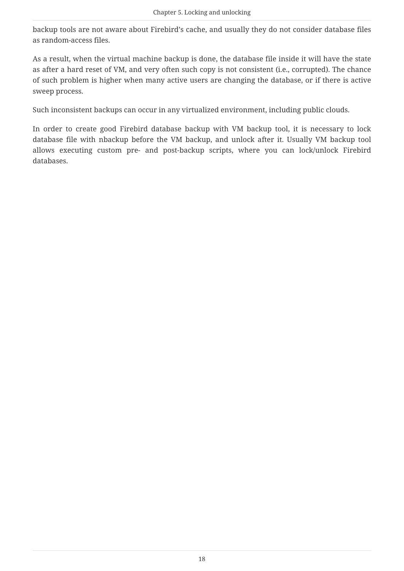backup tools are not aware about Firebird's cache, and usually they do not consider database files as random-access files.

As a result, when the virtual machine backup is done, the database file inside it will have the state as after a hard reset of VM, and very often such copy is not consistent (i.e., corrupted). The chance of such problem is higher when many active users are changing the database, or if there is active sweep process.

Such inconsistent backups can occur in any virtualized environment, including public clouds.

In order to create good Firebird database backup with VM backup tool, it is necessary to lock database file with nbackup before the VM backup, and unlock after it. Usually VM backup tool allows executing custom pre- and post-backup scripts, where you can lock/unlock Firebird databases.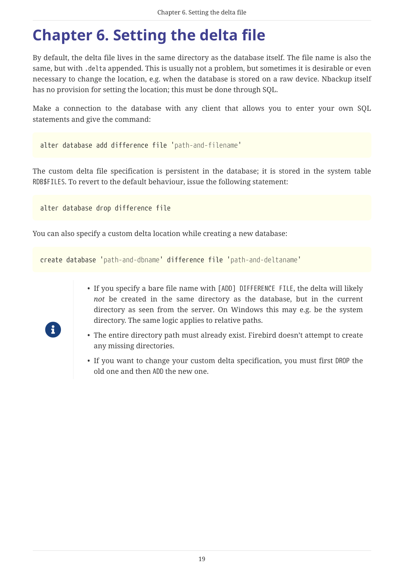## <span id="page-19-0"></span>**Chapter 6. Setting the delta file**

By default, the delta file lives in the same directory as the database itself. The file name is also the same, but with .delta appended. This is usually not a problem, but sometimes it is desirable or even necessary to change the location, e.g. when the database is stored on a raw device. Nbackup itself has no provision for setting the location; this must be done through SQL.

Make a connection to the database with any client that allows you to enter your own SQL statements and give the command:

```
alter database add difference file 'path-and-filename'
```
The custom delta file specification is persistent in the database; it is stored in the system table RDB\$FILES. To revert to the default behaviour, issue the following statement:

alter database drop difference file

You can also specify a custom delta location while creating a new database:

```
create database 'path-and-dbname' difference file 'path-and-deltaname'
```
- If you specify a bare file name with [ADD] DIFFERENCE FILE, the delta will likely *not* be created in the same directory as the database, but in the current directory as seen from the server. On Windows this may e.g. be the system directory. The same logic applies to relative paths.
- The entire directory path must already exist. Firebird doesn't attempt to create any missing directories.
- If you want to change your custom delta specification, you must first DROP the old one and then ADD the new one.

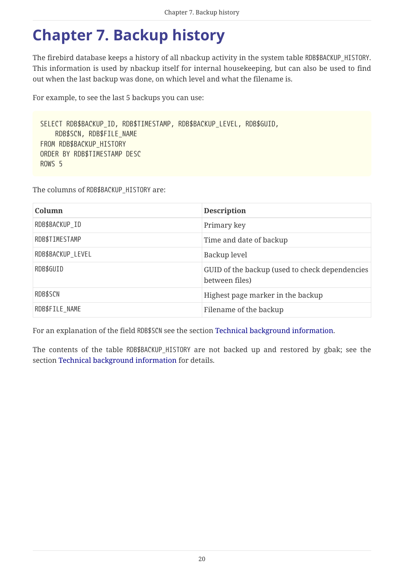## <span id="page-20-0"></span>**Chapter 7. Backup history**

The firebird database keeps a history of all nbackup activity in the system table RDB\$BACKUP\_HISTORY. This information is used by nbackup itself for internal housekeeping, but can also be used to find out when the last backup was done, on which level and what the filename is.

For example, to see the last 5 backups you can use:

```
SELECT RDB$BACKUP_ID, RDB$TIMESTAMP, RDB$BACKUP_LEVEL, RDB$GUID,
      RDB$SCN, RDB$FILE_NAME
FROM RDB$BACKUP_HISTORY
ORDER BY RDB$TIMESTAMP DESC
ROWS 5
```
The columns of RDB\$BACKUP\_HISTORY are:

| Column            | <b>Description</b>                                               |
|-------------------|------------------------------------------------------------------|
| RDB\$BACKUP ID    | Primary key                                                      |
| RDB\$TIMESTAMP    | Time and date of backup                                          |
| RDB\$BACKUP_LEVEL | Backup level                                                     |
| RDB\$GUID         | GUID of the backup (used to check dependencies<br>between files) |
| RDB\$SCN          | Highest page marker in the backup                                |
| RDB\$FILE NAME    | Filename of the backup                                           |

For an explanation of the field RDB\$SCN see the section [Technical background information](#page-21-0).

The contents of the table RDB\$BACKUP\_HISTORY are not backed up and restored by gbak; see the section [Technical background information](#page-21-0) for details.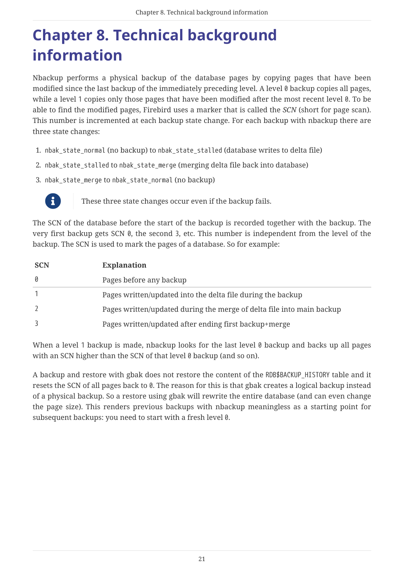## <span id="page-21-0"></span>**Chapter 8. Technical background information**

Nbackup performs a physical backup of the database pages by copying pages that have been modified since the last backup of the immediately preceding level. A level 0 backup copies all pages, while a level 1 copies only those pages that have been modified after the most recent level 0. To be able to find the modified pages, Firebird uses a marker that is called the *SCN* (short for page scan). This number is incremented at each backup state change. For each backup with nbackup there are three state changes:

- 1. nbak\_state\_normal (no backup) to nbak\_state\_stalled (database writes to delta file)
- 2. nbak\_state\_stalled to nbak\_state\_merge (merging delta file back into database)
- 3. nbak\_state\_merge to nbak\_state\_normal (no backup)



These three state changes occur even if the backup fails.

The SCN of the database before the start of the backup is recorded together with the backup. The very first backup gets SCN 0, the second 3, etc. This number is independent from the level of the backup. The SCN is used to mark the pages of a database. So for example:

| <b>SCN</b> | <b>Explanation</b>                                                    |
|------------|-----------------------------------------------------------------------|
| 0          | Pages before any backup                                               |
|            | Pages written/updated into the delta file during the backup           |
|            | Pages written/updated during the merge of delta file into main backup |
|            | Pages written/updated after ending first backup+merge                 |

When a level 1 backup is made, nbackup looks for the last level 0 backup and backs up all pages with an SCN higher than the SCN of that level 0 backup (and so on).

A backup and restore with gbak does not restore the content of the RDB\$BACKUP\_HISTORY table and it resets the SCN of all pages back to 0. The reason for this is that gbak creates a logical backup instead of a physical backup. So a restore using gbak will rewrite the entire database (and can even change the page size). This renders previous backups with nbackup meaningless as a starting point for subsequent backups: you need to start with a fresh level 0.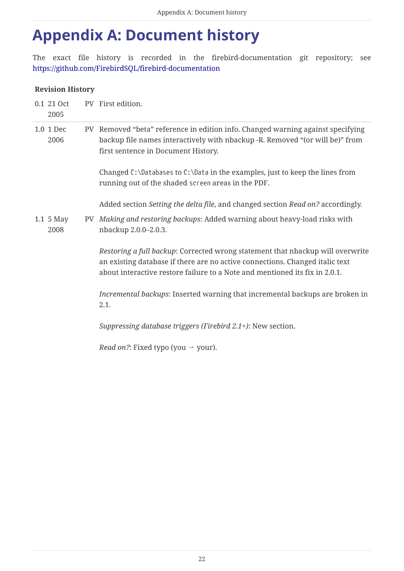## <span id="page-22-0"></span>**Appendix A: Document history**

The exact file history is recorded in the firebird-documentation git repository; see <https://github.com/FirebirdSQL/firebird-documentation>

#### **Revision History**

| 0.1 21 Oct<br>2005 |    | PV First edition.                                                                                                                                                                                                                             |
|--------------------|----|-----------------------------------------------------------------------------------------------------------------------------------------------------------------------------------------------------------------------------------------------|
| 1.0 1 Dec<br>2006  |    | PV Removed "beta" reference in edition info. Changed warning against specifying<br>backup file names interactively with nbackup -R. Removed "(or will be)" from<br>first sentence in Document History.                                        |
|                    |    | Changed C: \Databases to C: \Data in the examples, just to keep the lines from<br>running out of the shaded screen areas in the PDF.                                                                                                          |
|                    |    | Added section Setting the delta file, and changed section Read on? accordingly.                                                                                                                                                               |
| 1.1 5 May<br>2008  | PV | Making and restoring backups: Added warning about heavy-load risks with<br>nbackup 2.0.0-2.0.3.                                                                                                                                               |
|                    |    | Restoring a full backup: Corrected wrong statement that nbackup will overwrite<br>an existing database if there are no active connections. Changed italic text<br>about interactive restore failure to a Note and mentioned its fix in 2.0.1. |
|                    |    | Incremental backups: Inserted warning that incremental backups are broken in<br>2.1.                                                                                                                                                          |
|                    |    | Suppressing database triggers (Firebird 2.1+): New section.                                                                                                                                                                                   |
|                    |    | <i>Read on?</i> : Fixed typo (you $\rightarrow$ your).                                                                                                                                                                                        |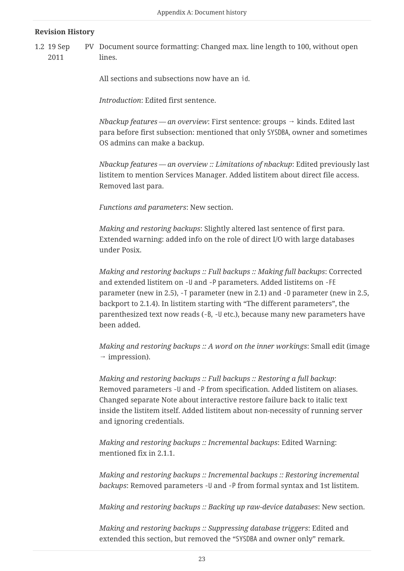#### **Revision History**

1.2 19 Sep 2011 PV Document source formatting: Changed max. line length to 100, without open lines.

All sections and subsections now have an id.

*Introduction*: Edited first sentence.

*Nbackup features — an overview*: First sentence: groups → kinds. Edited last para before first subsection: mentioned that only SYSDBA, owner and sometimes OS admins can make a backup.

*Nbackup features — an overview :: Limitations of nbackup*: Edited previously last listitem to mention Services Manager. Added listitem about direct file access. Removed last para.

*Functions and parameters*: New section.

*Making and restoring backups*: Slightly altered last sentence of first para. Extended warning: added info on the role of direct I/O with large databases under Posix.

*Making and restoring backups :: Full backups :: Making full backups*: Corrected and extended listitem on -U and -P parameters. Added listitems on -FE parameter (new in 2.5), -T parameter (new in 2.1) and -D parameter (new in 2.5, backport to 2.1.4). In listitem starting with "The different parameters", the parenthesized text now reads (-B, -U etc.), because many new parameters have been added.

*Making and restoring backups :: A word on the inner workings*: Small edit (image  $\rightarrow$  impression).

*Making and restoring backups :: Full backups :: Restoring a full backup*: Removed parameters -U and -P from specification. Added listitem on aliases. Changed separate Note about interactive restore failure back to italic text inside the listitem itself. Added listitem about non-necessity of running server and ignoring credentials.

*Making and restoring backups :: Incremental backups*: Edited Warning: mentioned fix in 2.1.1.

*Making and restoring backups :: Incremental backups :: Restoring incremental backups*: Removed parameters -U and -P from formal syntax and 1st listitem.

*Making and restoring backups :: Backing up raw-device databases*: New section.

*Making and restoring backups :: Suppressing database triggers*: Edited and extended this section, but removed the "SYSDBA and owner only" remark.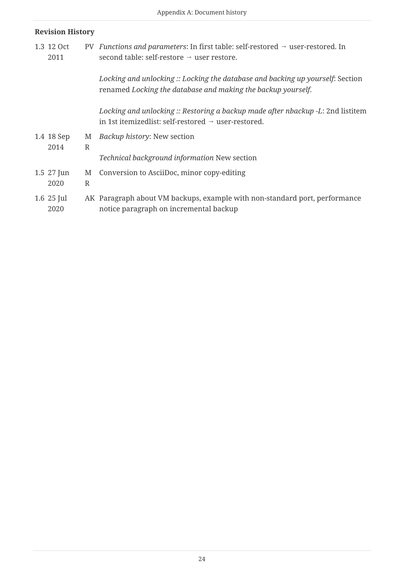#### **Revision History**

1.3 12 Oct 2011 PV *Functions and parameters*: In first table: self-restored → user-restored. In second table: self-restore → user restore.

> *Locking and unlocking :: Locking the database and backing up yourself*: Section renamed *Locking the database and making the backup yourself*.

*Locking and unlocking :: Restoring a backup made after nbackup -L*: 2nd listitem in 1st itemizedlist: self-restored → user-restored.

1.4 18 Sep 2014 M R *Backup history*: New section

*Technical background information* New section

- 1.5 27 Jun M Conversion to AsciiDoc, minor copy-editing
- 2020 R

#### 1.6 25 Jul 2020 AK Paragraph about VM backups, example with non-standard port, performance notice paragraph on incremental backup